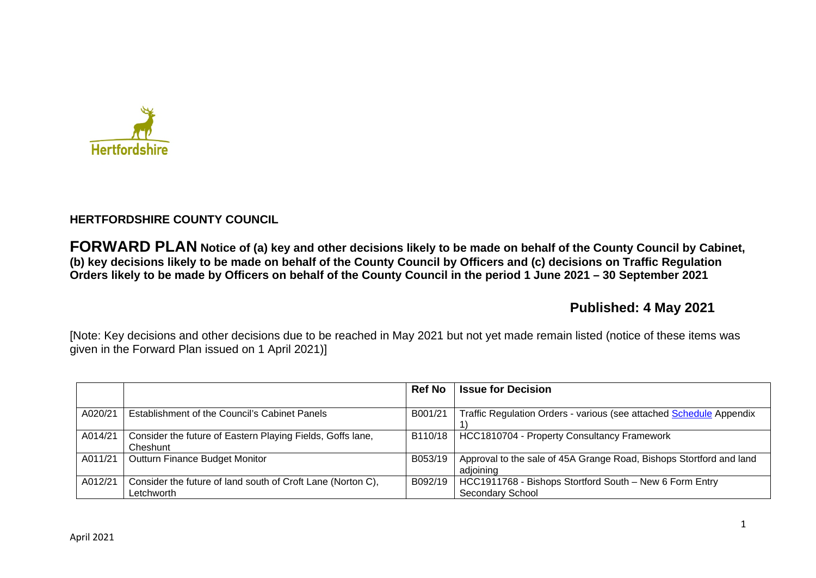

## **HERTFORDSHIRE COUNTY COUNCIL**

**FORWARD PLAN Notice of (a) key and other decisions likely to be made on behalf of the County Council by Cabinet, (b) key decisions likely to be made on behalf of the County Council by Officers and (c) decisions on Traffic Regulation Orders likely to be made by Officers on behalf of the County Council in the period 1 June 2021 – 30 September 2021** 

# **Published: 4 May 2021**

[Note: Key decisions and other decisions due to be reached in May 2021 but not yet made remain listed (notice of these items was given in the Forward Plan issued on 1 April 2021)]

|         |                                                             | <b>Ref No</b> | <b>Issue for Decision</b>                                           |
|---------|-------------------------------------------------------------|---------------|---------------------------------------------------------------------|
|         |                                                             |               |                                                                     |
| A020/21 | Establishment of the Council's Cabinet Panels               | B001/21       | Traffic Regulation Orders - various (see attached Schedule Appendix |
|         |                                                             |               |                                                                     |
| A014/21 | Consider the future of Eastern Playing Fields, Goffs lane,  | B110/18       | HCC1810704 - Property Consultancy Framework                         |
|         | Cheshunt                                                    |               |                                                                     |
| A011/21 | Outturn Finance Budget Monitor                              | B053/19       | Approval to the sale of 45A Grange Road, Bishops Stortford and land |
|         |                                                             |               | adioining                                                           |
| A012/21 | Consider the future of land south of Croft Lane (Norton C), | B092/19       | HCC1911768 - Bishops Stortford South - New 6 Form Entry             |
|         | Letchworth                                                  |               | <b>Secondary School</b>                                             |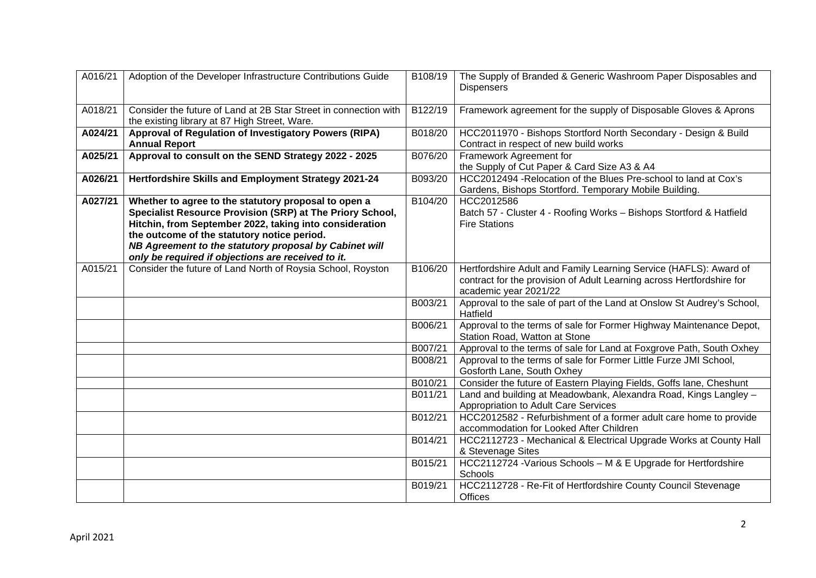| A016/21 | Adoption of the Developer Infrastructure Contributions Guide                                                                                                                                                                                                                                                                                | B108/19 | The Supply of Branded & Generic Washroom Paper Disposables and<br><b>Dispensers</b>                                                                                 |
|---------|---------------------------------------------------------------------------------------------------------------------------------------------------------------------------------------------------------------------------------------------------------------------------------------------------------------------------------------------|---------|---------------------------------------------------------------------------------------------------------------------------------------------------------------------|
| A018/21 | Consider the future of Land at 2B Star Street in connection with<br>the existing library at 87 High Street, Ware.                                                                                                                                                                                                                           | B122/19 | Framework agreement for the supply of Disposable Gloves & Aprons                                                                                                    |
| A024/21 | Approval of Regulation of Investigatory Powers (RIPA)<br><b>Annual Report</b>                                                                                                                                                                                                                                                               | B018/20 | HCC2011970 - Bishops Stortford North Secondary - Design & Build<br>Contract in respect of new build works                                                           |
| A025/21 | Approval to consult on the SEND Strategy 2022 - 2025                                                                                                                                                                                                                                                                                        | B076/20 | Framework Agreement for<br>the Supply of Cut Paper & Card Size A3 & A4                                                                                              |
| A026/21 | Hertfordshire Skills and Employment Strategy 2021-24                                                                                                                                                                                                                                                                                        | B093/20 | HCC2012494 - Relocation of the Blues Pre-school to land at Cox's<br>Gardens, Bishops Stortford. Temporary Mobile Building.                                          |
| A027/21 | Whether to agree to the statutory proposal to open a<br>Specialist Resource Provision (SRP) at The Priory School,<br>Hitchin, from September 2022, taking into consideration<br>the outcome of the statutory notice period.<br>NB Agreement to the statutory proposal by Cabinet will<br>only be required if objections are received to it. | B104/20 | HCC2012586<br>Batch 57 - Cluster 4 - Roofing Works - Bishops Stortford & Hatfield<br><b>Fire Stations</b>                                                           |
| A015/21 | Consider the future of Land North of Roysia School, Royston                                                                                                                                                                                                                                                                                 | B106/20 | Hertfordshire Adult and Family Learning Service (HAFLS): Award of<br>contract for the provision of Adult Learning across Hertfordshire for<br>academic year 2021/22 |
|         |                                                                                                                                                                                                                                                                                                                                             | B003/21 | Approval to the sale of part of the Land at Onslow St Audrey's School,<br>Hatfield                                                                                  |
|         |                                                                                                                                                                                                                                                                                                                                             | B006/21 | Approval to the terms of sale for Former Highway Maintenance Depot,<br>Station Road, Watton at Stone                                                                |
|         |                                                                                                                                                                                                                                                                                                                                             | B007/21 | Approval to the terms of sale for Land at Foxgrove Path, South Oxhey                                                                                                |
|         |                                                                                                                                                                                                                                                                                                                                             | B008/21 | Approval to the terms of sale for Former Little Furze JMI School,<br>Gosforth Lane, South Oxhey                                                                     |
|         |                                                                                                                                                                                                                                                                                                                                             | B010/21 | Consider the future of Eastern Playing Fields, Goffs lane, Cheshunt                                                                                                 |
|         |                                                                                                                                                                                                                                                                                                                                             | B011/21 | Land and building at Meadowbank, Alexandra Road, Kings Langley -<br>Appropriation to Adult Care Services                                                            |
|         |                                                                                                                                                                                                                                                                                                                                             | B012/21 | HCC2012582 - Refurbishment of a former adult care home to provide<br>accommodation for Looked After Children                                                        |
|         |                                                                                                                                                                                                                                                                                                                                             | B014/21 | HCC2112723 - Mechanical & Electrical Upgrade Works at County Hall<br>& Stevenage Sites                                                                              |
|         |                                                                                                                                                                                                                                                                                                                                             | B015/21 | HCC2112724 - Various Schools - M & E Upgrade for Hertfordshire<br>Schools                                                                                           |
|         |                                                                                                                                                                                                                                                                                                                                             | B019/21 | HCC2112728 - Re-Fit of Hertfordshire County Council Stevenage<br><b>Offices</b>                                                                                     |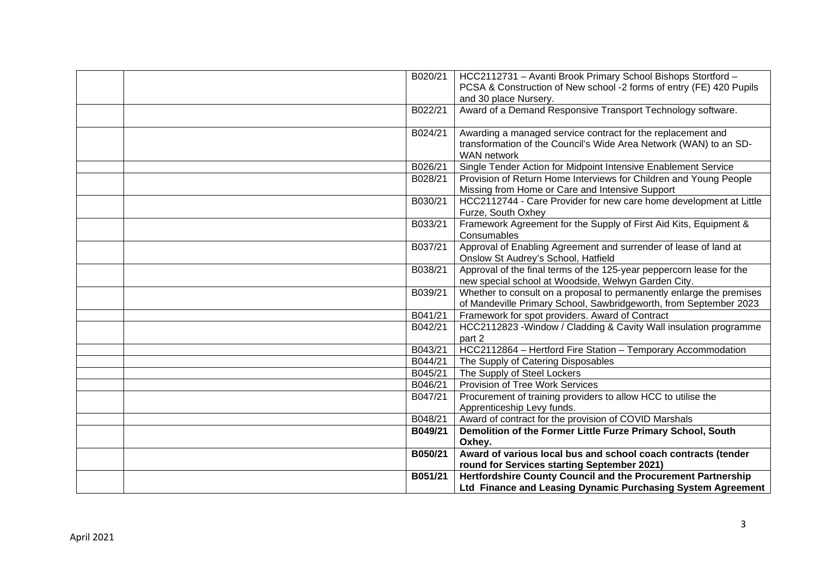| B020/21 | HCC2112731 - Avanti Brook Primary School Bishops Stortford -                                                                                           |
|---------|--------------------------------------------------------------------------------------------------------------------------------------------------------|
|         | PCSA & Construction of New school -2 forms of entry (FE) 420 Pupils<br>and 30 place Nursery.                                                           |
| B022/21 | Award of a Demand Responsive Transport Technology software.                                                                                            |
| B024/21 | Awarding a managed service contract for the replacement and<br>transformation of the Council's Wide Area Network (WAN) to an SD-<br><b>WAN</b> network |
| B026/21 | Single Tender Action for Midpoint Intensive Enablement Service                                                                                         |
| B028/21 | Provision of Return Home Interviews for Children and Young People<br>Missing from Home or Care and Intensive Support                                   |
| B030/21 | HCC2112744 - Care Provider for new care home development at Little<br>Furze, South Oxhey                                                               |
| B033/21 | Framework Agreement for the Supply of First Aid Kits, Equipment &<br>Consumables                                                                       |
| B037/21 | Approval of Enabling Agreement and surrender of lease of land at<br>Onslow St Audrey's School, Hatfield                                                |
| B038/21 | Approval of the final terms of the 125-year peppercorn lease for the<br>new special school at Woodside, Welwyn Garden City.                            |
| B039/21 | Whether to consult on a proposal to permanently enlarge the premises<br>of Mandeville Primary School, Sawbridgeworth, from September 2023              |
| B041/21 | Framework for spot providers. Award of Contract                                                                                                        |
| B042/21 | HCC2112823 - Window / Cladding & Cavity Wall insulation programme<br>part 2                                                                            |
| B043/21 | HCC2112864 - Hertford Fire Station - Temporary Accommodation                                                                                           |
| B044/21 | The Supply of Catering Disposables                                                                                                                     |
| B045/21 | The Supply of Steel Lockers                                                                                                                            |
| B046/21 | Provision of Tree Work Services                                                                                                                        |
| B047/21 | Procurement of training providers to allow HCC to utilise the<br>Apprenticeship Levy funds.                                                            |
| B048/21 | Award of contract for the provision of COVID Marshals                                                                                                  |
| B049/21 | Demolition of the Former Little Furze Primary School, South                                                                                            |
|         | Oxhey.                                                                                                                                                 |
| B050/21 | Award of various local bus and school coach contracts (tender                                                                                          |
|         | round for Services starting September 2021)                                                                                                            |
| B051/21 | Hertfordshire County Council and the Procurement Partnership                                                                                           |
|         | Ltd Finance and Leasing Dynamic Purchasing System Agreement                                                                                            |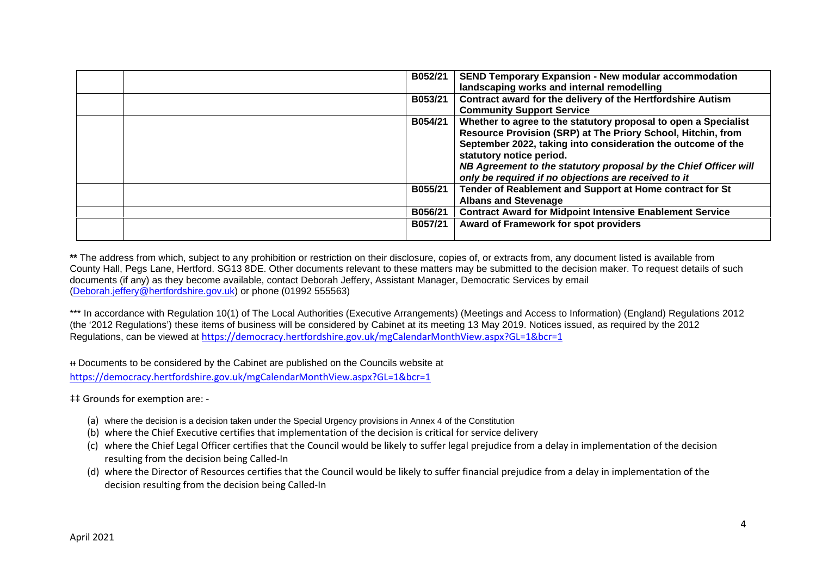| B052/21 | <b>SEND Temporary Expansion - New modular accommodation</b><br>landscaping works and internal remodelling                                                                                                                                                                                                                                               |
|---------|---------------------------------------------------------------------------------------------------------------------------------------------------------------------------------------------------------------------------------------------------------------------------------------------------------------------------------------------------------|
| B053/21 | Contract award for the delivery of the Hertfordshire Autism<br><b>Community Support Service</b>                                                                                                                                                                                                                                                         |
| B054/21 | Whether to agree to the statutory proposal to open a Specialist<br>Resource Provision (SRP) at The Priory School, Hitchin, from<br>September 2022, taking into consideration the outcome of the<br>statutory notice period.<br>NB Agreement to the statutory proposal by the Chief Officer will<br>only be required if no objections are received to it |
| B055/21 | Tender of Reablement and Support at Home contract for St<br><b>Albans and Stevenage</b>                                                                                                                                                                                                                                                                 |
| B056/21 | <b>Contract Award for Midpoint Intensive Enablement Service</b>                                                                                                                                                                                                                                                                                         |
| B057/21 | Award of Framework for spot providers                                                                                                                                                                                                                                                                                                                   |
|         |                                                                                                                                                                                                                                                                                                                                                         |

\*\* The address from which, subject to any prohibition or restriction on their disclosure, copies of, or extracts from, any document listed is available from County Hall, Pegs Lane, Hertford. SG13 8DE. Other documents relevant to these matters may be submitted to the decision maker. To request details of such documents (if any) as they become available, contact Deborah Jeffery, Assistant Manager, Democratic Services by email (Deborah.jeffery@hertfordshire.gov.uk) or phone (01992 555563)

\*\*\* In accordance with Regulation 10(1) of The Local Authorities (Executive Arrangements) (Meetings and Access to Information) (England) Regulations 2012 (the '2012 Regulations') these items of business will be considered by Cabinet at its meeting 13 May 2019. Notices issued, as required by the 2012 Regulations, can be viewed at https://democracy.hertfordshire.gov.uk/mgCalendarMonthView.aspx?GL=1&bcr=1

ᵻᵻ Documents to be considered by the Cabinet are published on the Councils website at https://democracy.hertfordshire.gov.uk/mgCalendarMonthView.aspx?GL=1&bcr=1

‡‡ Grounds for exemption are: -

- (a) where the decision is a decision taken under the Special Urgency provisions in Annex 4 of the Constitution
- (b) where the Chief Executive certifies that implementation of the decision is critical for service delivery
- (c) where the Chief Legal Officer certifies that the Council would be likely to suffer legal prejudice from a delay in implementation of the decision resulting from the decision being Called-In
- (d) where the Director of Resources certifies that the Council would be likely to suffer financial prejudice from a delay in implementation of the decision resulting from the decision being Called-In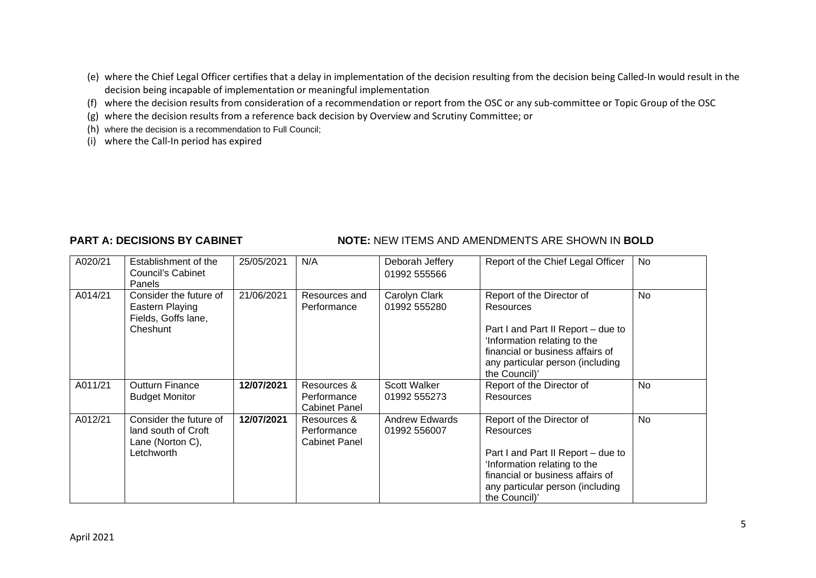- (e) where the Chief Legal Officer certifies that a delay in implementation of the decision resulting from the decision being Called-In would result in the decision being incapable of implementation or meaningful implementation
- (f) where the decision results from consideration of a recommendation or report from the OSC or any sub-committee or Topic Group of the OSC
- (g) where the decision results from a reference back decision by Overview and Scrutiny Committee; or
- (h) where the decision is a recommendation to Full Council;
- (i) where the Call-In period has expired

### **PART A: DECISIONS BY CABINET NOTE: NEW ITEMS AND AMENDMENTS ARE SHOWN IN BOLD**

| A020/21 | Establishment of the<br><b>Council's Cabinet</b><br>Panels                      | 25/05/2021 | N/A                                                | Deborah Jeffery<br>01992 555566       | Report of the Chief Legal Officer                                                                                                                                                                     | No  |
|---------|---------------------------------------------------------------------------------|------------|----------------------------------------------------|---------------------------------------|-------------------------------------------------------------------------------------------------------------------------------------------------------------------------------------------------------|-----|
| A014/21 | Consider the future of<br>Eastern Playing<br>Fields, Goffs lane,<br>Cheshunt    | 21/06/2021 | Resources and<br>Performance                       | Carolyn Clark<br>01992 555280         | Report of the Director of<br>Resources<br>Part I and Part II Report - due to<br>Information relating to the<br>financial or business affairs of<br>any particular person (including<br>the Council)'  | No. |
| A011/21 | <b>Outturn Finance</b><br><b>Budget Monitor</b>                                 | 12/07/2021 | Resources &<br>Performance<br><b>Cabinet Panel</b> | <b>Scott Walker</b><br>01992 555273   | Report of the Director of<br>Resources                                                                                                                                                                | No  |
| A012/21 | Consider the future of<br>land south of Croft<br>Lane (Norton C),<br>Letchworth | 12/07/2021 | Resources &<br>Performance<br><b>Cabinet Panel</b> | <b>Andrew Edwards</b><br>01992 556007 | Report of the Director of<br>Resources<br>Part I and Part II Report - due to<br>'Information relating to the<br>financial or business affairs of<br>any particular person (including<br>the Council)' | No  |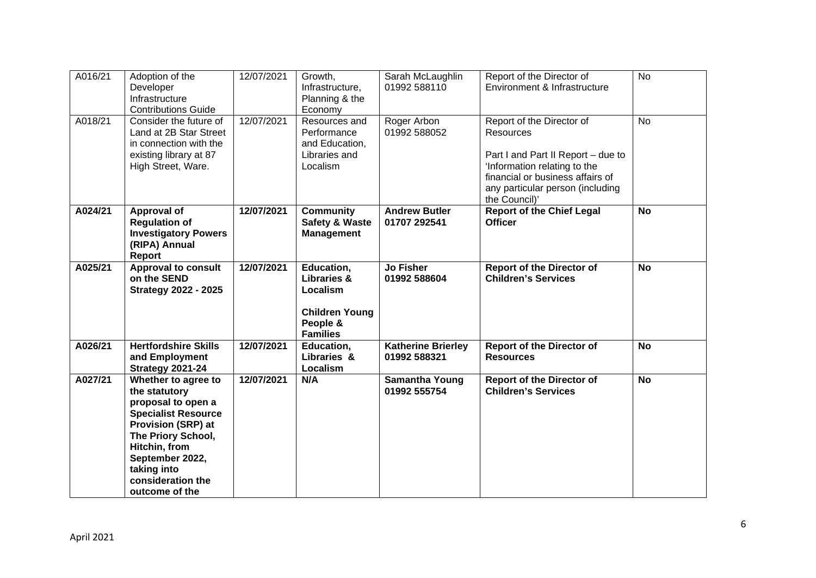| A016/21 | Adoption of the             | 12/07/2021 | Growth,                   | Sarah McLaughlin          | Report of the Director of          | <b>No</b> |
|---------|-----------------------------|------------|---------------------------|---------------------------|------------------------------------|-----------|
|         | Developer                   |            | Infrastructure,           | 01992 588110              | Environment & Infrastructure       |           |
|         | Infrastructure              |            | Planning & the            |                           |                                    |           |
|         | <b>Contributions Guide</b>  |            | Economy                   |                           |                                    |           |
| A018/21 | Consider the future of      | 12/07/2021 | Resources and             | Roger Arbon               | Report of the Director of          | <b>No</b> |
|         | Land at 2B Star Street      |            | Performance               | 01992 588052              | <b>Resources</b>                   |           |
|         | in connection with the      |            | and Education,            |                           |                                    |           |
|         | existing library at 87      |            | Libraries and             |                           | Part I and Part II Report - due to |           |
|         | High Street, Ware.          |            | Localism                  |                           | 'Information relating to the       |           |
|         |                             |            |                           |                           | financial or business affairs of   |           |
|         |                             |            |                           |                           | any particular person (including   |           |
|         |                             |            |                           |                           | the Council)'                      |           |
| A024/21 | Approval of                 | 12/07/2021 | <b>Community</b>          | <b>Andrew Butler</b>      | <b>Report of the Chief Legal</b>   | <b>No</b> |
|         | <b>Regulation of</b>        |            | <b>Safety &amp; Waste</b> | 01707 292541              | <b>Officer</b>                     |           |
|         | <b>Investigatory Powers</b> |            | <b>Management</b>         |                           |                                    |           |
|         | (RIPA) Annual               |            |                           |                           |                                    |           |
|         | Report                      |            |                           |                           |                                    |           |
| A025/21 | <b>Approval to consult</b>  | 12/07/2021 | Education,                | <b>Jo Fisher</b>          | <b>Report of the Director of</b>   | <b>No</b> |
|         | on the SEND                 |            | <b>Libraries &amp;</b>    | 01992 588604              | <b>Children's Services</b>         |           |
|         | <b>Strategy 2022 - 2025</b> |            | Localism                  |                           |                                    |           |
|         |                             |            |                           |                           |                                    |           |
|         |                             |            | <b>Children Young</b>     |                           |                                    |           |
|         |                             |            | People &                  |                           |                                    |           |
|         |                             |            | <b>Families</b>           |                           |                                    |           |
| A026/21 | <b>Hertfordshire Skills</b> | 12/07/2021 | Education,                | <b>Katherine Brierley</b> | <b>Report of the Director of</b>   | <b>No</b> |
|         | and Employment              |            | Libraries &               | 01992 588321              | <b>Resources</b>                   |           |
|         | <b>Strategy 2021-24</b>     |            | Localism                  |                           |                                    |           |
| A027/21 | Whether to agree to         | 12/07/2021 | N/A                       | <b>Samantha Young</b>     | <b>Report of the Director of</b>   | <b>No</b> |
|         | the statutory               |            |                           | 01992 555754              | <b>Children's Services</b>         |           |
|         | proposal to open a          |            |                           |                           |                                    |           |
|         | <b>Specialist Resource</b>  |            |                           |                           |                                    |           |
|         | Provision (SRP) at          |            |                           |                           |                                    |           |
|         | The Priory School,          |            |                           |                           |                                    |           |
|         | Hitchin, from               |            |                           |                           |                                    |           |
|         | September 2022,             |            |                           |                           |                                    |           |
|         | taking into                 |            |                           |                           |                                    |           |
|         | consideration the           |            |                           |                           |                                    |           |
|         | outcome of the              |            |                           |                           |                                    |           |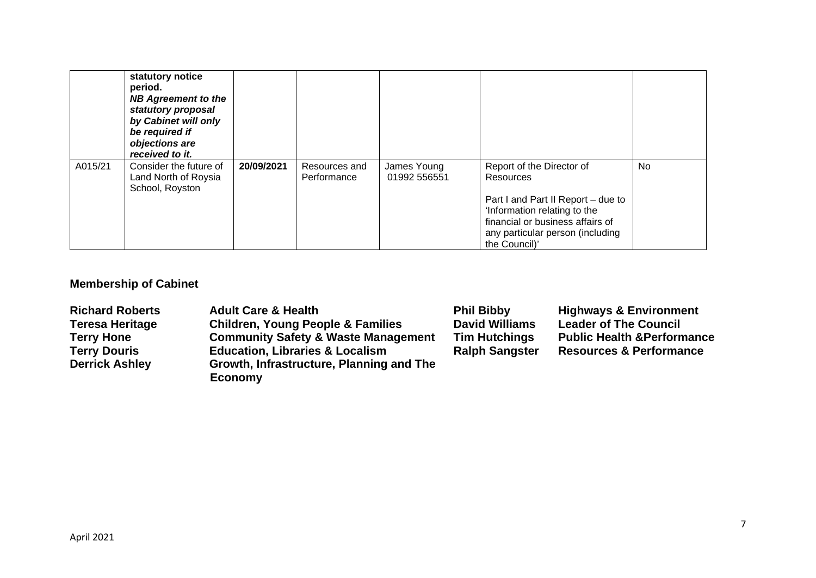|         | statutory notice<br>period.<br><b>NB Agreement to the</b><br>statutory proposal<br>by Cabinet will only<br>be required if<br>objections are<br>received to it. |            |                              |                             |                                                                                                                                                                                                       |     |
|---------|----------------------------------------------------------------------------------------------------------------------------------------------------------------|------------|------------------------------|-----------------------------|-------------------------------------------------------------------------------------------------------------------------------------------------------------------------------------------------------|-----|
| A015/21 | Consider the future of<br>Land North of Roysia<br>School, Royston                                                                                              | 20/09/2021 | Resources and<br>Performance | James Young<br>01992 556551 | Report of the Director of<br>Resources<br>Part I and Part II Report – due to<br>'Information relating to the<br>financial or business affairs of<br>any particular person (including<br>the Council)' | No. |

# **Membership of Cabinet**

| <b>Richard Roberts</b> | <b>Adult Care &amp; Health</b>                 | <b>Phil Bibby</b>     | <b>Highways &amp; Environment</b>      |
|------------------------|------------------------------------------------|-----------------------|----------------------------------------|
| <b>Teresa Heritage</b> | <b>Children, Young People &amp; Families</b>   | <b>David Williams</b> | <b>Leader of The Council</b>           |
| <b>Terry Hone</b>      | <b>Community Safety &amp; Waste Management</b> | <b>Tim Hutchings</b>  | <b>Public Health &amp; Performance</b> |
| <b>Terry Douris</b>    | <b>Education, Libraries &amp; Localism</b>     | <b>Ralph Sangster</b> | <b>Resources &amp; Performance</b>     |
| <b>Derrick Ashley</b>  | Growth, Infrastructure, Planning and The       |                       |                                        |
|                        | <b>Economy</b>                                 |                       |                                        |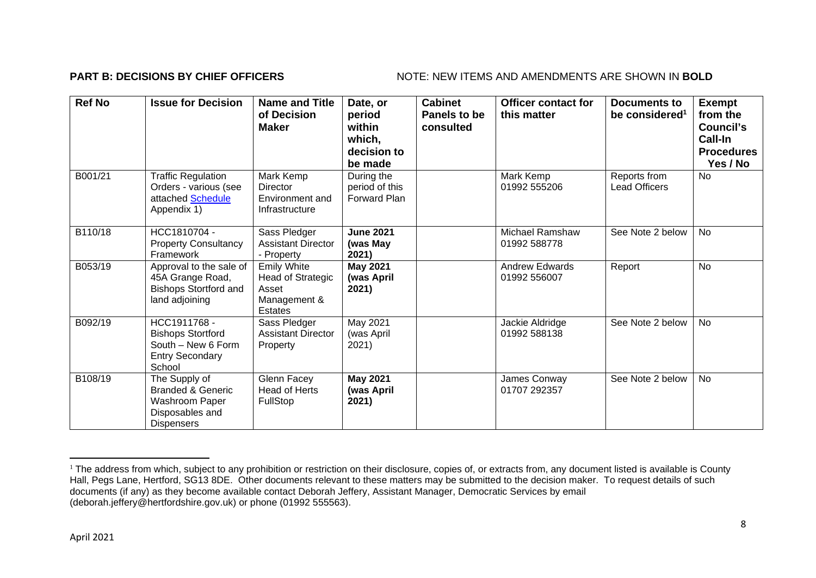### **PART B: DECISIONS BY CHIEF OFFICERS** NOTE: NEW ITEMS AND AMENDMENTS ARE SHOWN IN BOLD

| <b>Ref No</b> | <b>Issue for Decision</b>                                                                               | <b>Name and Title</b><br>of Decision<br><b>Maker</b>                        | Date, or<br>period<br>within<br>which,<br>decision to<br>be made | <b>Cabinet</b><br>Panels to be<br>consulted | <b>Officer contact for</b><br>this matter | Documents to<br>be considered <sup>1</sup> | <b>Exempt</b><br>from the<br>Council's<br>Call-In<br><b>Procedures</b><br>Yes / No |
|---------------|---------------------------------------------------------------------------------------------------------|-----------------------------------------------------------------------------|------------------------------------------------------------------|---------------------------------------------|-------------------------------------------|--------------------------------------------|------------------------------------------------------------------------------------|
| B001/21       | <b>Traffic Regulation</b><br>Orders - various (see<br>attached Schedule<br>Appendix 1)                  | Mark Kemp<br>Director<br>Environment and<br>Infrastructure                  | During the<br>period of this<br><b>Forward Plan</b>              |                                             | Mark Kemp<br>01992 555206                 | Reports from<br><b>Lead Officers</b>       | No                                                                                 |
| B110/18       | HCC1810704 -<br><b>Property Consultancy</b><br>Framework                                                | Sass Pledger<br><b>Assistant Director</b><br>- Property                     | <b>June 2021</b><br>(was May<br>2021)                            |                                             | <b>Michael Ramshaw</b><br>01992 588778    | See Note 2 below                           | No                                                                                 |
| B053/19       | Approval to the sale of<br>45A Grange Road,<br><b>Bishops Stortford and</b><br>land adjoining           | <b>Emily White</b><br>Head of Strategic<br>Asset<br>Management &<br>Estates | May 2021<br>(was April<br>2021)                                  |                                             | <b>Andrew Edwards</b><br>01992 556007     | Report                                     | <b>No</b>                                                                          |
| B092/19       | HCC1911768 -<br><b>Bishops Stortford</b><br>South - New 6 Form<br><b>Entry Secondary</b><br>School      | Sass Pledger<br><b>Assistant Director</b><br>Property                       | May 2021<br>(was April<br>2021)                                  |                                             | Jackie Aldridge<br>01992 588138           | See Note 2 below                           | <b>No</b>                                                                          |
| B108/19       | The Supply of<br><b>Branded &amp; Generic</b><br>Washroom Paper<br>Disposables and<br><b>Dispensers</b> | Glenn Facey<br>Head of Herts<br>FullStop                                    | <b>May 2021</b><br>(was April<br>2021)                           |                                             | James Conway<br>01707 292357              | See Note 2 below                           | No                                                                                 |

<sup>&</sup>lt;sup>1</sup> The address from which, subject to any prohibition or restriction on their disclosure, copies of, or extracts from, any document listed is available is County Hall, Pegs Lane, Hertford, SG13 8DE. Other documents relevant to these matters may be submitted to the decision maker. To request details of such documents (if any) as they become available contact Deborah Jeffery, Assistant Manager, Democratic Services by email (deborah.jeffery@hertfordshire.gov.uk) or phone (01992 555563).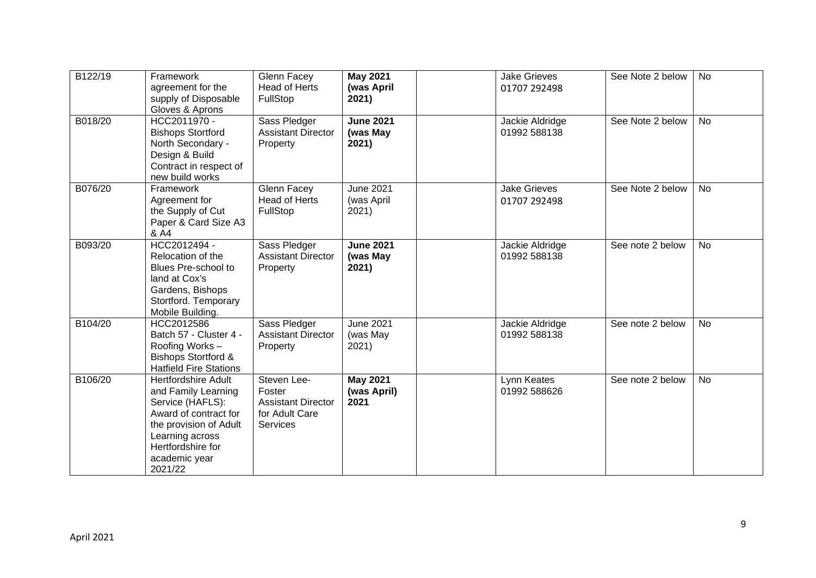| B122/19 | Framework<br>agreement for the<br>supply of Disposable<br>Gloves & Aprons                                                                                                                    | <b>Glenn Facey</b><br><b>Head of Herts</b><br>FullStop                                  | <b>May 2021</b><br>(was April<br>2021)  | <b>Jake Grieves</b><br>01707 292498 | See Note 2 below | <b>No</b> |
|---------|----------------------------------------------------------------------------------------------------------------------------------------------------------------------------------------------|-----------------------------------------------------------------------------------------|-----------------------------------------|-------------------------------------|------------------|-----------|
| B018/20 | HCC2011970 -<br><b>Bishops Stortford</b><br>North Secondary -<br>Design & Build<br>Contract in respect of<br>new build works                                                                 | Sass Pledger<br><b>Assistant Director</b><br>Property                                   | <b>June 2021</b><br>(was May<br>2021)   | Jackie Aldridge<br>01992 588138     | See Note 2 below | <b>No</b> |
| B076/20 | Framework<br>Agreement for<br>the Supply of Cut<br>Paper & Card Size A3<br>& A4                                                                                                              | Glenn Facey<br><b>Head of Herts</b><br>FullStop                                         | <b>June 2021</b><br>(was April<br>2021) | <b>Jake Grieves</b><br>01707 292498 | See Note 2 below | <b>No</b> |
| B093/20 | HCC2012494 -<br>Relocation of the<br>Blues Pre-school to<br>land at Cox's<br>Gardens, Bishops<br>Stortford. Temporary<br>Mobile Building.                                                    | Sass Pledger<br><b>Assistant Director</b><br>Property                                   | <b>June 2021</b><br>(was May<br>2021)   | Jackie Aldridge<br>01992 588138     | See note 2 below | <b>No</b> |
| B104/20 | HCC2012586<br>Batch 57 - Cluster 4 -<br>Roofing Works-<br><b>Bishops Stortford &amp;</b><br><b>Hatfield Fire Stations</b>                                                                    | Sass Pledger<br><b>Assistant Director</b><br>Property                                   | <b>June 2021</b><br>(was May<br>2021)   | Jackie Aldridge<br>01992 588138     | See note 2 below | <b>No</b> |
| B106/20 | <b>Hertfordshire Adult</b><br>and Family Learning<br>Service (HAFLS):<br>Award of contract for<br>the provision of Adult<br>Learning across<br>Hertfordshire for<br>academic year<br>2021/22 | Steven Lee-<br>Foster<br><b>Assistant Director</b><br>for Adult Care<br><b>Services</b> | <b>May 2021</b><br>(was April)<br>2021  | Lynn Keates<br>01992 588626         | See note 2 below | <b>No</b> |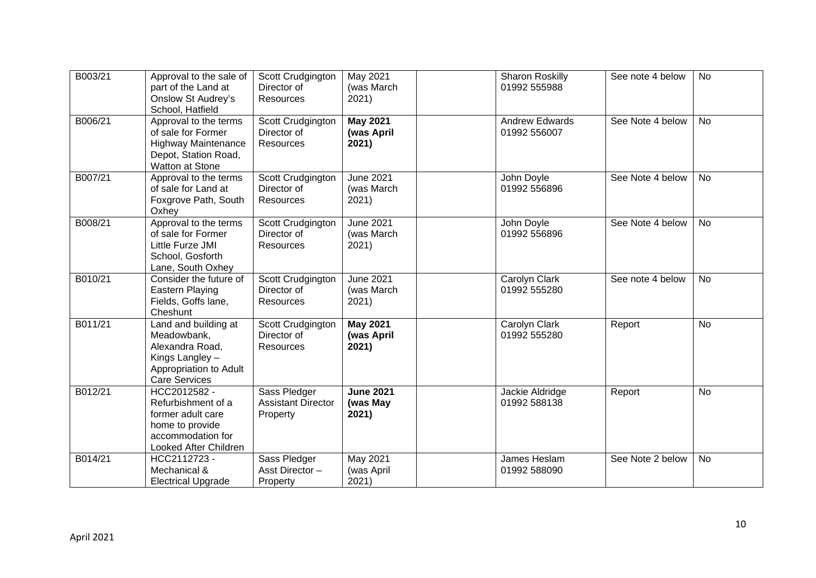| B003/21 | Approval to the sale of<br>part of the Land at<br><b>Onslow St Audrey's</b><br>School, Hatfield                             | Scott Crudgington<br>Director of<br>Resources         | May 2021<br>(was March<br>2021)         | <b>Sharon Roskilly</b><br>01992 555988 | See note 4 below | <b>No</b> |
|---------|-----------------------------------------------------------------------------------------------------------------------------|-------------------------------------------------------|-----------------------------------------|----------------------------------------|------------------|-----------|
| B006/21 | Approval to the terms<br>of sale for Former<br><b>Highway Maintenance</b><br>Depot, Station Road,<br>Watton at Stone        | Scott Crudgington<br>Director of<br>Resources         | <b>May 2021</b><br>(was April<br>2021)  | <b>Andrew Edwards</b><br>01992 556007  | See Note 4 below | <b>No</b> |
| B007/21 | Approval to the terms<br>of sale for Land at<br>Foxgrove Path, South<br>Oxhey                                               | Scott Crudgington<br>Director of<br><b>Resources</b>  | <b>June 2021</b><br>(was March<br>2021) | John Doyle<br>01992 556896             | See Note 4 below | No        |
| B008/21 | Approval to the terms<br>of sale for Former<br>Little Furze JMI<br>School, Gosforth<br>Lane, South Oxhey                    | Scott Crudgington<br>Director of<br>Resources         | <b>June 2021</b><br>(was March<br>2021) | John Doyle<br>01992 556896             | See Note 4 below | <b>No</b> |
| B010/21 | Consider the future of<br>Eastern Playing<br>Fields, Goffs lane,<br>Cheshunt                                                | Scott Crudgington<br>Director of<br>Resources         | <b>June 2021</b><br>(was March<br>2021) | Carolyn Clark<br>01992 555280          | See note 4 below | <b>No</b> |
| B011/21 | Land and building at<br>Meadowbank,<br>Alexandra Road,<br>Kings Langley -<br>Appropriation to Adult<br><b>Care Services</b> | Scott Crudgington<br>Director of<br><b>Resources</b>  | <b>May 2021</b><br>(was April<br>2021)  | Carolyn Clark<br>01992 555280          | Report           | <b>No</b> |
| B012/21 | HCC2012582 -<br>Refurbishment of a<br>former adult care<br>home to provide<br>accommodation for<br>Looked After Children    | Sass Pledger<br><b>Assistant Director</b><br>Property | <b>June 2021</b><br>(was May<br>2021)   | Jackie Aldridge<br>01992 588138        | Report           | <b>No</b> |
| B014/21 | HCC2112723 -<br>Mechanical &<br><b>Electrical Upgrade</b>                                                                   | Sass Pledger<br>Asst Director-<br>Property            | <b>May 2021</b><br>(was April<br>2021)  | <b>James Heslam</b><br>01992 588090    | See Note 2 below | <b>No</b> |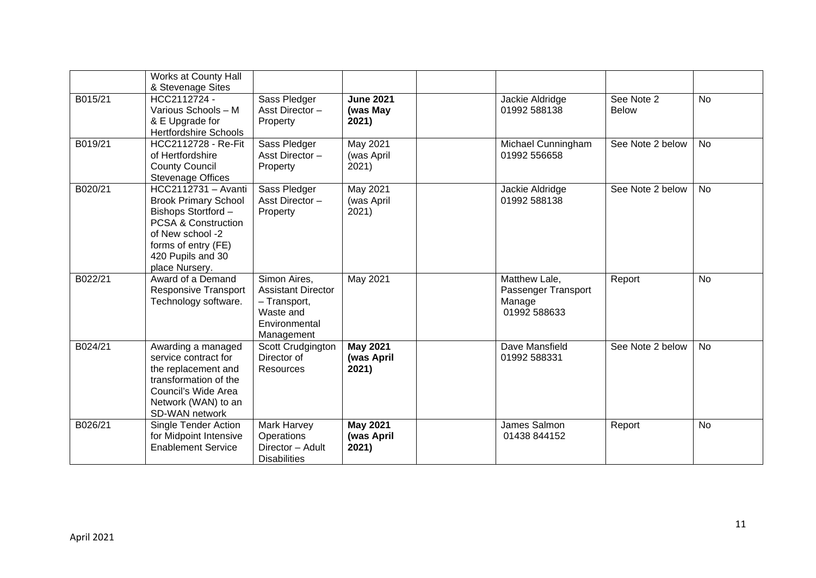|         | Works at County Hall<br>& Stevenage Sites                                                                                                                                                     |                                                                                                       |                                        |                                                                |                            |           |
|---------|-----------------------------------------------------------------------------------------------------------------------------------------------------------------------------------------------|-------------------------------------------------------------------------------------------------------|----------------------------------------|----------------------------------------------------------------|----------------------------|-----------|
| B015/21 | HCC2112724 -<br>Various Schools - M<br>& E Upgrade for<br><b>Hertfordshire Schools</b>                                                                                                        | Sass Pledger<br>Asst Director-<br>Property                                                            | <b>June 2021</b><br>(was May<br>2021)  | Jackie Aldridge<br>01992 588138                                | See Note 2<br><b>Below</b> | <b>No</b> |
| B019/21 | HCC2112728 - Re-Fit<br>of Hertfordshire<br><b>County Council</b><br><b>Stevenage Offices</b>                                                                                                  | Sass Pledger<br>Asst Director-<br>Property                                                            | May 2021<br>(was April<br>2021)        | Michael Cunningham<br>01992 556658                             | See Note 2 below           | <b>No</b> |
| B020/21 | HCC2112731 - Avanti<br><b>Brook Primary School</b><br>Bishops Stortford -<br><b>PCSA &amp; Construction</b><br>of New school -2<br>forms of entry (FE)<br>420 Pupils and 30<br>place Nursery. | Sass Pledger<br>Asst Director-<br>Property                                                            | May 2021<br>(was April<br>2021)        | Jackie Aldridge<br>01992 588138                                | See Note 2 below           | <b>No</b> |
| B022/21 | Award of a Demand<br><b>Responsive Transport</b><br>Technology software.                                                                                                                      | Simon Aires,<br><b>Assistant Director</b><br>- Transport,<br>Waste and<br>Environmental<br>Management | May 2021                               | Matthew Lale,<br>Passenger Transport<br>Manage<br>01992 588633 | Report                     | <b>No</b> |
| B024/21 | Awarding a managed<br>service contract for<br>the replacement and<br>transformation of the<br>Council's Wide Area<br>Network (WAN) to an<br>SD-WAN network                                    | Scott Crudgington<br>Director of<br>Resources                                                         | <b>May 2021</b><br>(was April<br>2021) | Dave Mansfield<br>01992 588331                                 | See Note 2 below           | No        |
| B026/21 | <b>Single Tender Action</b><br>for Midpoint Intensive<br><b>Enablement Service</b>                                                                                                            | Mark Harvey<br>Operations<br>Director - Adult<br><b>Disabilities</b>                                  | <b>May 2021</b><br>(was April<br>2021) | James Salmon<br>01438 844152                                   | Report                     | No        |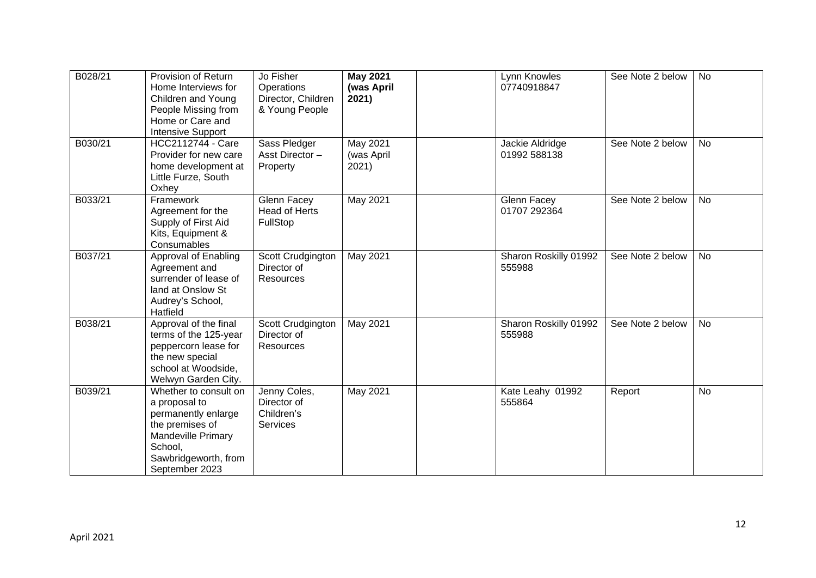| B028/21 | Provision of Return<br>Home Interviews for<br>Children and Young<br>People Missing from<br>Home or Care and<br><b>Intensive Support</b>                     | Jo Fisher<br>Operations<br>Director, Children<br>& Young People | <b>May 2021</b><br>(was April<br>2021) | Lynn Knowles<br>07740918847     | See Note 2 below | <b>No</b> |
|---------|-------------------------------------------------------------------------------------------------------------------------------------------------------------|-----------------------------------------------------------------|----------------------------------------|---------------------------------|------------------|-----------|
| B030/21 | <b>HCC2112744 - Care</b><br>Provider for new care<br>home development at<br>Little Furze, South<br>Oxhey                                                    | Sass Pledger<br>Asst Director-<br>Property                      | <b>May 2021</b><br>(was April<br>2021) | Jackie Aldridge<br>01992 588138 | See Note 2 below | <b>No</b> |
| B033/21 | Framework<br>Agreement for the<br>Supply of First Aid<br>Kits, Equipment &<br>Consumables                                                                   | Glenn Facey<br><b>Head of Herts</b><br>FullStop                 | May 2021                               | Glenn Facey<br>01707 292364     | See Note 2 below | <b>No</b> |
| B037/21 | Approval of Enabling<br>Agreement and<br>surrender of lease of<br>land at Onslow St<br>Audrey's School,<br>Hatfield                                         | Scott Crudgington<br>Director of<br>Resources                   | May 2021                               | Sharon Roskilly 01992<br>555988 | See Note 2 below | <b>No</b> |
| B038/21 | Approval of the final<br>terms of the 125-year<br>peppercorn lease for<br>the new special<br>school at Woodside,<br>Welwyn Garden City.                     | Scott Crudgington<br>Director of<br>Resources                   | <b>May 2021</b>                        | Sharon Roskilly 01992<br>555988 | See Note 2 below | <b>No</b> |
| B039/21 | Whether to consult on<br>a proposal to<br>permanently enlarge<br>the premises of<br>Mandeville Primary<br>School,<br>Sawbridgeworth, from<br>September 2023 | Jenny Coles,<br>Director of<br>Children's<br><b>Services</b>    | May 2021                               | Kate Leahy 01992<br>555864      | Report           | <b>No</b> |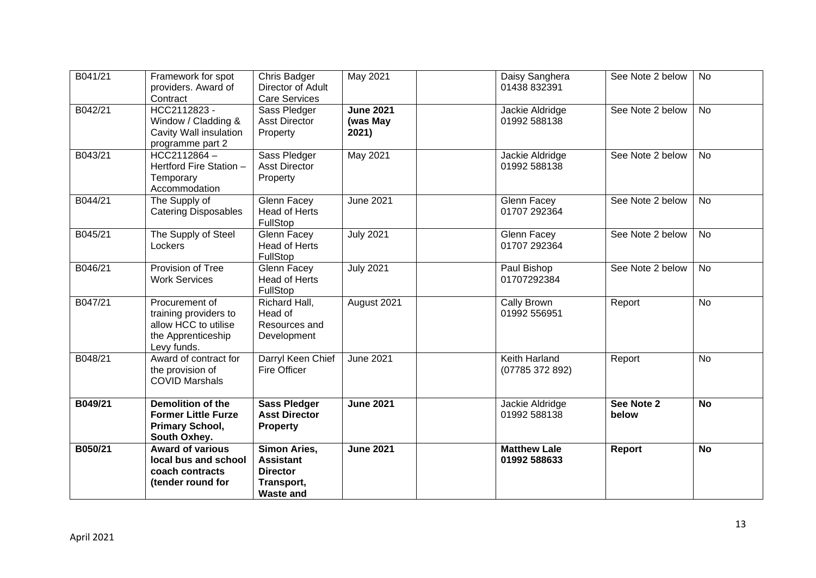| B041/21 | Framework for spot<br>providers. Award of<br>Contract                                                | Chris Badger<br>Director of Adult<br><b>Care Services</b>                             | May 2021                              | Daisy Sanghera<br>01438 832391      | See Note 2 below    | <b>No</b> |
|---------|------------------------------------------------------------------------------------------------------|---------------------------------------------------------------------------------------|---------------------------------------|-------------------------------------|---------------------|-----------|
| B042/21 | HCC2112823 -<br>Window / Cladding &<br>Cavity Wall insulation<br>programme part 2                    | Sass Pledger<br><b>Asst Director</b><br>Property                                      | <b>June 2021</b><br>(was May<br>2021) | Jackie Aldridge<br>01992 588138     | See Note 2 below    | No        |
| B043/21 | $HCC2112864 -$<br>Hertford Fire Station -<br>Temporary<br>Accommodation                              | Sass Pledger<br><b>Asst Director</b><br>Property                                      | May 2021                              | Jackie Aldridge<br>01992 588138     | See Note 2 below    | No        |
| B044/21 | The Supply of<br><b>Catering Disposables</b>                                                         | Glenn Facey<br><b>Head of Herts</b><br>FullStop                                       | <b>June 2021</b>                      | Glenn Facey<br>01707 292364         | See Note 2 below    | <b>No</b> |
| B045/21 | The Supply of Steel<br>Lockers                                                                       | Glenn Facey<br><b>Head of Herts</b><br>FullStop                                       | <b>July 2021</b>                      | Glenn Facey<br>01707 292364         | See Note 2 below    | <b>No</b> |
| B046/21 | Provision of Tree<br><b>Work Services</b>                                                            | Glenn Facey<br>Head of Herts<br>FullStop                                              | <b>July 2021</b>                      | Paul Bishop<br>01707292384          | See Note 2 below    | <b>No</b> |
| B047/21 | Procurement of<br>training providers to<br>allow HCC to utilise<br>the Apprenticeship<br>Levy funds. | Richard Hall,<br>Head of<br>Resources and<br>Development                              | August 2021                           | Cally Brown<br>01992 556951         | Report              | <b>No</b> |
| B048/21 | Award of contract for<br>the provision of<br><b>COVID Marshals</b>                                   | Darryl Keen Chief<br><b>Fire Officer</b>                                              | <b>June 2021</b>                      | Keith Harland<br>(07785 372 892)    | Report              | <b>No</b> |
| B049/21 | <b>Demolition of the</b><br><b>Former Little Furze</b><br><b>Primary School,</b><br>South Oxhey.     | <b>Sass Pledger</b><br><b>Asst Director</b><br><b>Property</b>                        | <b>June 2021</b>                      | Jackie Aldridge<br>01992 588138     | See Note 2<br>below | <b>No</b> |
| B050/21 | <b>Award of various</b><br>local bus and school<br>coach contracts<br>(tender round for              | Simon Aries,<br><b>Assistant</b><br><b>Director</b><br>Transport,<br><b>Waste and</b> | <b>June 2021</b>                      | <b>Matthew Lale</b><br>01992 588633 | Report              | <b>No</b> |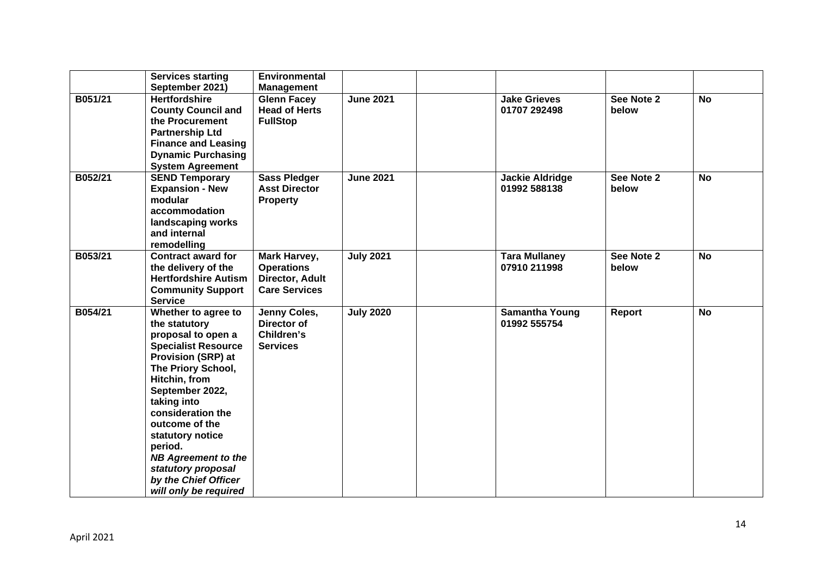|         | <b>Services starting</b><br>September 2021)                                                                                                                                                                                                                                                                                                                               | Environmental<br><b>Management</b>                                           |                  |                                        |                     |           |
|---------|---------------------------------------------------------------------------------------------------------------------------------------------------------------------------------------------------------------------------------------------------------------------------------------------------------------------------------------------------------------------------|------------------------------------------------------------------------------|------------------|----------------------------------------|---------------------|-----------|
| B051/21 | <b>Hertfordshire</b><br><b>County Council and</b><br>the Procurement<br><b>Partnership Ltd</b><br><b>Finance and Leasing</b><br><b>Dynamic Purchasing</b><br><b>System Agreement</b>                                                                                                                                                                                      | <b>Glenn Facey</b><br><b>Head of Herts</b><br><b>FullStop</b>                | <b>June 2021</b> | <b>Jake Grieves</b><br>01707 292498    | See Note 2<br>below | <b>No</b> |
| B052/21 | <b>SEND Temporary</b><br><b>Expansion - New</b><br>modular<br>accommodation<br>landscaping works<br>and internal<br>remodelling                                                                                                                                                                                                                                           | <b>Sass Pledger</b><br><b>Asst Director</b><br><b>Property</b>               | <b>June 2021</b> | <b>Jackie Aldridge</b><br>01992 588138 | See Note 2<br>below | <b>No</b> |
| B053/21 | <b>Contract award for</b><br>the delivery of the<br><b>Hertfordshire Autism</b><br><b>Community Support</b><br><b>Service</b>                                                                                                                                                                                                                                             | Mark Harvey,<br><b>Operations</b><br>Director, Adult<br><b>Care Services</b> | <b>July 2021</b> | <b>Tara Mullaney</b><br>07910 211998   | See Note 2<br>below | <b>No</b> |
| B054/21 | Whether to agree to<br>the statutory<br>proposal to open a<br><b>Specialist Resource</b><br><b>Provision (SRP) at</b><br>The Priory School,<br>Hitchin, from<br>September 2022,<br>taking into<br>consideration the<br>outcome of the<br>statutory notice<br>period.<br><b>NB Agreement to the</b><br>statutory proposal<br>by the Chief Officer<br>will only be required | Jenny Coles,<br>Director of<br>Children's<br><b>Services</b>                 | <b>July 2020</b> | <b>Samantha Young</b><br>01992 555754  | Report              | <b>No</b> |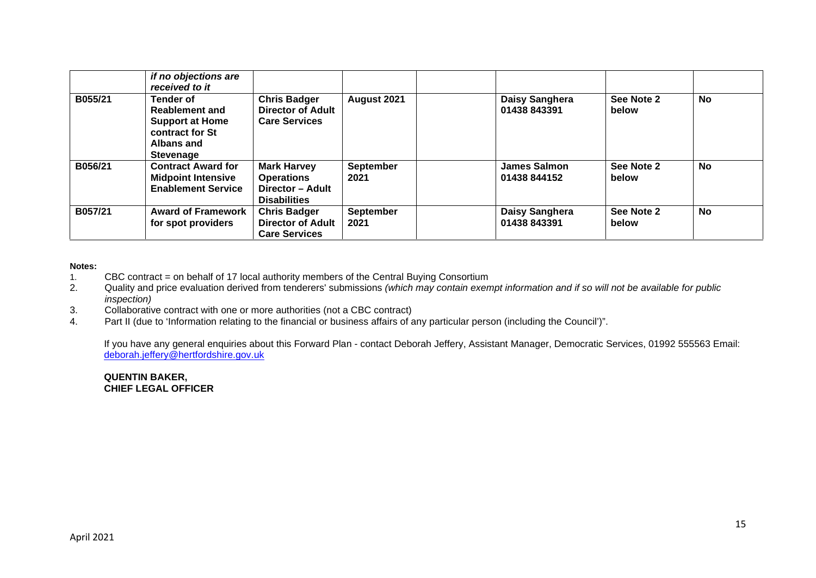|         | if no objections are<br>received to it                                                                                   |                                                                                    |                          |                                     |                     |           |
|---------|--------------------------------------------------------------------------------------------------------------------------|------------------------------------------------------------------------------------|--------------------------|-------------------------------------|---------------------|-----------|
| B055/21 | <b>Tender of</b><br><b>Reablement and</b><br><b>Support at Home</b><br>contract for St<br>Albans and<br><b>Stevenage</b> | <b>Chris Badger</b><br><b>Director of Adult</b><br><b>Care Services</b>            | August 2021              | Daisy Sanghera<br>01438 843391      | See Note 2<br>below | No        |
| B056/21 | <b>Contract Award for</b><br><b>Midpoint Intensive</b><br><b>Enablement Service</b>                                      | <b>Mark Harvey</b><br><b>Operations</b><br>Director - Adult<br><b>Disabilities</b> | <b>September</b><br>2021 | <b>James Salmon</b><br>01438 844152 | See Note 2<br>below | <b>No</b> |
| B057/21 | <b>Award of Framework</b><br>for spot providers                                                                          | <b>Chris Badger</b><br><b>Director of Adult</b><br><b>Care Services</b>            | <b>September</b><br>2021 | Daisy Sanghera<br>01438 843391      | See Note 2<br>below | <b>No</b> |

#### **Notes:**

1. CBC contract = on behalf of 17 local authority members of the Central Buying Consortium<br>2. Quality and price evaluation derived from tenderers' submissions (which may contain exer-

- 2. Quality and price evaluation derived from tenderers' submissions *(which may contain exempt information and if so will not be available for public inspection)*
- 3. Collaborative contract with one or more authorities (not a CBC contract)
- 4. Part II (due to 'Information relating to the financial or business affairs of any particular person (including the Council')".

If you have any general enquiries about this Forward Plan - contact Deborah Jeffery, Assistant Manager, Democratic Services, 01992 555563 Email: deborah.jeffery@hertfordshire.gov.uk

#### **QUENTIN BAKER, CHIEF LEGAL OFFICER**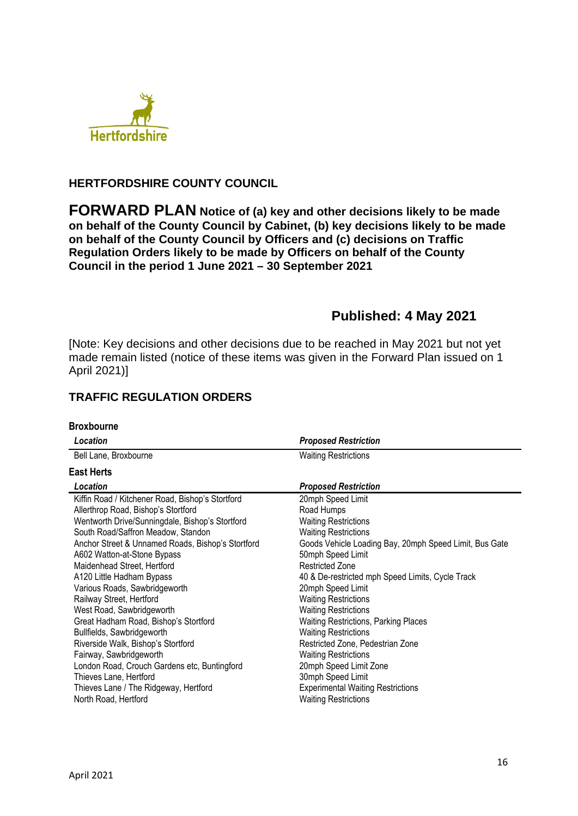

## **HERTFORDSHIRE COUNTY COUNCIL**

**FORWARD PLAN Notice of (a) key and other decisions likely to be made on behalf of the County Council by Cabinet, (b) key decisions likely to be made on behalf of the County Council by Officers and (c) decisions on Traffic Regulation Orders likely to be made by Officers on behalf of the County Council in the period 1 June 2021 – 30 September 2021** 

# **Published: 4 May 2021**

[Note: Key decisions and other decisions due to be reached in May 2021 but not yet made remain listed (notice of these items was given in the Forward Plan issued on 1 April 2021)]

## **TRAFFIC REGULATION ORDERS**

#### **Broxbourne**

| Location                                          | <b>Proposed Restriction</b>                            |  |  |  |
|---------------------------------------------------|--------------------------------------------------------|--|--|--|
| Bell Lane, Broxbourne                             | <b>Waiting Restrictions</b>                            |  |  |  |
| <b>East Herts</b>                                 |                                                        |  |  |  |
| Location                                          | <b>Proposed Restriction</b>                            |  |  |  |
| Kiffin Road / Kitchener Road, Bishop's Stortford  | 20mph Speed Limit                                      |  |  |  |
| Allerthrop Road, Bishop's Stortford               | Road Humps                                             |  |  |  |
| Wentworth Drive/Sunningdale, Bishop's Stortford   | <b>Waiting Restrictions</b>                            |  |  |  |
| South Road/Saffron Meadow, Standon                | <b>Waiting Restrictions</b>                            |  |  |  |
| Anchor Street & Unnamed Roads, Bishop's Stortford | Goods Vehicle Loading Bay, 20mph Speed Limit, Bus Gate |  |  |  |
| A602 Watton-at-Stone Bypass                       | 50mph Speed Limit                                      |  |  |  |
| Maidenhead Street, Hertford                       | <b>Restricted Zone</b>                                 |  |  |  |
| A120 Little Hadham Bypass                         | 40 & De-restricted mph Speed Limits, Cycle Track       |  |  |  |
| Various Roads, Sawbridgeworth                     | 20mph Speed Limit                                      |  |  |  |
| Railway Street, Hertford                          | <b>Waiting Restrictions</b>                            |  |  |  |
| West Road, Sawbridgeworth                         | <b>Waiting Restrictions</b>                            |  |  |  |
| Great Hadham Road, Bishop's Stortford             | <b>Waiting Restrictions, Parking Places</b>            |  |  |  |
| Bullfields, Sawbridgeworth                        | <b>Waiting Restrictions</b>                            |  |  |  |
| Riverside Walk, Bishop's Stortford                | Restricted Zone, Pedestrian Zone                       |  |  |  |
| Fairway, Sawbridgeworth                           | <b>Waiting Restrictions</b>                            |  |  |  |
| London Road, Crouch Gardens etc, Buntingford      | 20mph Speed Limit Zone                                 |  |  |  |
| Thieves Lane, Hertford                            | 30mph Speed Limit                                      |  |  |  |
| Thieves Lane / The Ridgeway, Hertford             | <b>Experimental Waiting Restrictions</b>               |  |  |  |
| North Road, Hertford                              | <b>Waiting Restrictions</b>                            |  |  |  |